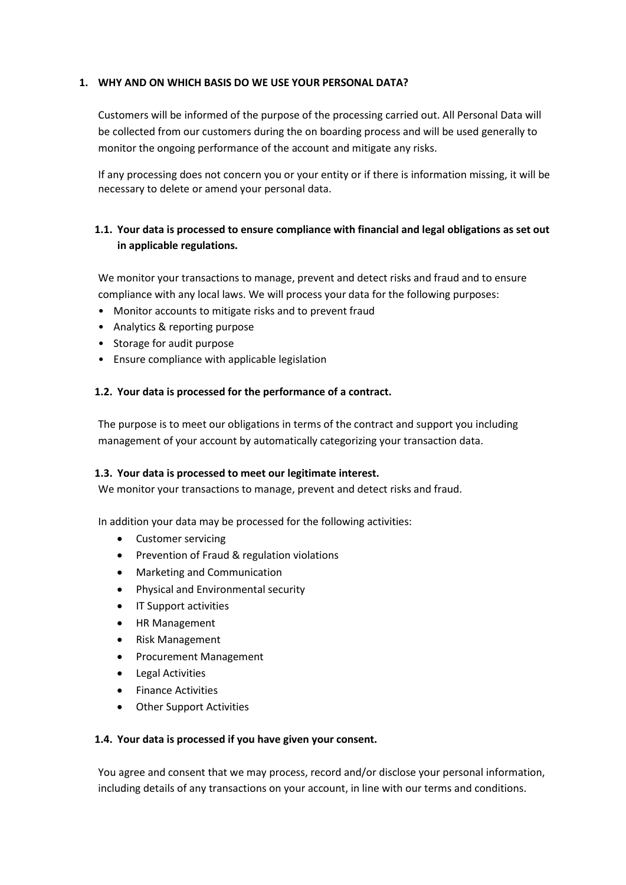### **1. WHY AND ON WHICH BASIS DO WE USE YOUR PERSONAL DATA?**

Customers will be informed of the purpose of the processing carried out. All Personal Data will be collected from our customers during the on boarding process and will be used generally to monitor the ongoing performance of the account and mitigate any risks.

If any processing does not concern you or your entity or if there is information missing, it will be necessary to delete or amend your personal data.

# **1.1. Your data is processed to ensure compliance with financial and legal obligations as set out in applicable regulations.**

We monitor your transactions to manage, prevent and detect risks and fraud and to ensure compliance with any local laws. We will process your data for the following purposes:

- Monitor accounts to mitigate risks and to prevent fraud
- Analytics & reporting purpose
- Storage for audit purpose
- Ensure compliance with applicable legislation

#### **1.2. Your data is processed for the performance of a contract.**

The purpose is to meet our obligations in terms of the contract and support you including management of your account by automatically categorizing your transaction data.

#### **1.3. Your data is processed to meet our legitimate interest.**

We monitor your transactions to manage, prevent and detect risks and fraud.

In addition your data may be processed for the following activities:

- Customer servicing
- Prevention of Fraud & regulation violations
- Marketing and Communication
- Physical and Environmental security
- IT Support activities
- HR Management
- Risk Management
- Procurement Management
- Legal Activities
- Finance Activities
- Other Support Activities

#### **1.4. Your data is processed if you have given your consent.**

You agree and consent that we may process, record and/or disclose your personal information, including details of any transactions on your account, in line with our terms and conditions.